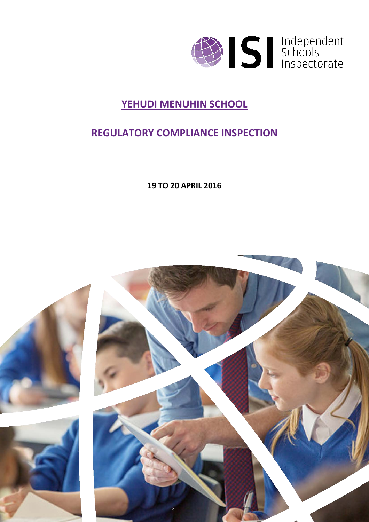

### **YEHUDI MENUHIN SCHOOL**

### **REGULATORY COMPLIANCE INSPECTION**

**19 TO 20 APRIL 2016**

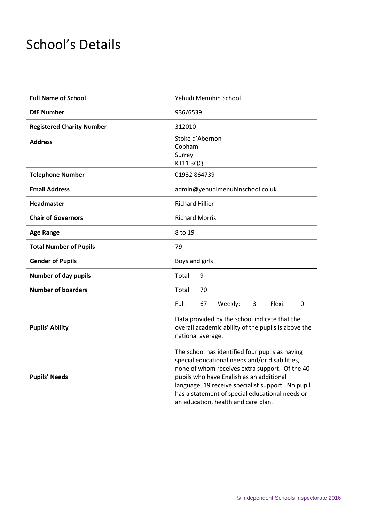# School's Details

| <b>Full Name of School</b>       | Yehudi Menuhin School                                                                                                                                                                                                                                                                                                                          |
|----------------------------------|------------------------------------------------------------------------------------------------------------------------------------------------------------------------------------------------------------------------------------------------------------------------------------------------------------------------------------------------|
| <b>DfE Number</b>                | 936/6539                                                                                                                                                                                                                                                                                                                                       |
| <b>Registered Charity Number</b> | 312010                                                                                                                                                                                                                                                                                                                                         |
| <b>Address</b>                   | Stoke d'Abernon<br>Cobham<br>Surrey<br>KT11 3QQ                                                                                                                                                                                                                                                                                                |
| <b>Telephone Number</b>          | 01932 864739                                                                                                                                                                                                                                                                                                                                   |
| <b>Email Address</b>             | admin@yehudimenuhinschool.co.uk                                                                                                                                                                                                                                                                                                                |
| <b>Headmaster</b>                | <b>Richard Hillier</b>                                                                                                                                                                                                                                                                                                                         |
| <b>Chair of Governors</b>        | <b>Richard Morris</b>                                                                                                                                                                                                                                                                                                                          |
| <b>Age Range</b>                 | 8 to 19                                                                                                                                                                                                                                                                                                                                        |
| <b>Total Number of Pupils</b>    | 79                                                                                                                                                                                                                                                                                                                                             |
| <b>Gender of Pupils</b>          | Boys and girls                                                                                                                                                                                                                                                                                                                                 |
| <b>Number of day pupils</b>      | Total:<br>9                                                                                                                                                                                                                                                                                                                                    |
| <b>Number of boarders</b>        | Total:<br>70                                                                                                                                                                                                                                                                                                                                   |
|                                  | Full:<br>67<br>Weekly:<br>Flexi:<br>3<br>0                                                                                                                                                                                                                                                                                                     |
| <b>Pupils' Ability</b>           | Data provided by the school indicate that the<br>overall academic ability of the pupils is above the<br>national average.                                                                                                                                                                                                                      |
| <b>Pupils' Needs</b>             | The school has identified four pupils as having<br>special educational needs and/or disabilities,<br>none of whom receives extra support. Of the 40<br>pupils who have English as an additional<br>language, 19 receive specialist support. No pupil<br>has a statement of special educational needs or<br>an education, health and care plan. |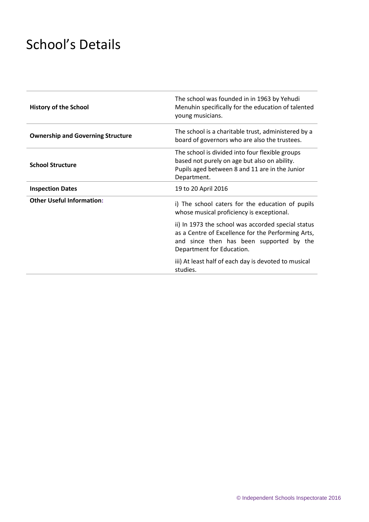# School's Details

| <b>History of the School</b>             | The school was founded in in 1963 by Yehudi<br>Menuhin specifically for the education of talented<br>young musicians.                                                             |
|------------------------------------------|-----------------------------------------------------------------------------------------------------------------------------------------------------------------------------------|
| <b>Ownership and Governing Structure</b> | The school is a charitable trust, administered by a<br>board of governors who are also the trustees.                                                                              |
| <b>School Structure</b>                  | The school is divided into four flexible groups<br>based not purely on age but also on ability.<br>Pupils aged between 8 and 11 are in the Junior<br>Department.                  |
| <b>Inspection Dates</b>                  | 19 to 20 April 2016                                                                                                                                                               |
| <b>Other Useful Information:</b>         | i) The school caters for the education of pupils<br>whose musical proficiency is exceptional.                                                                                     |
|                                          | ii) In 1973 the school was accorded special status<br>as a Centre of Excellence for the Performing Arts,<br>and since then has been supported by the<br>Department for Education. |
|                                          | iii) At least half of each day is devoted to musical<br>studies.                                                                                                                  |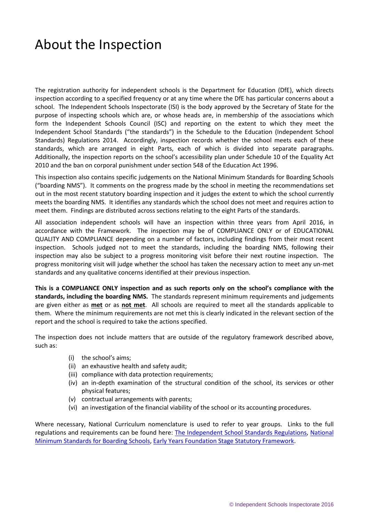## About the Inspection

The registration authority for independent schools is the Department for Education (DfE), which directs inspection according to a specified frequency or at any time where the DfE has particular concerns about a school. The Independent Schools Inspectorate (ISI) is the body approved by the Secretary of State for the purpose of inspecting schools which are, or whose heads are, in membership of the associations which form the Independent Schools Council (ISC) and reporting on the extent to which they meet the Independent School Standards ("the standards") in the Schedule to the Education (Independent School Standards) Regulations 2014. Accordingly, inspection records whether the school meets each of these standards, which are arranged in eight Parts, each of which is divided into separate paragraphs. Additionally, the inspection reports on the school's accessibility plan under Schedule 10 of the Equality Act 2010 and the ban on corporal punishment under section 548 of the Education Act 1996.

This inspection also contains specific judgements on the National Minimum Standards for Boarding Schools ("boarding NMS"). It comments on the progress made by the school in meeting the recommendations set out in the most recent statutory boarding inspection and it judges the extent to which the school currently meets the boarding NMS. It identifies any standards which the school does not meet and requires action to meet them. Findings are distributed across sections relating to the eight Parts of the standards.

All association independent schools will have an inspection within three years from April 2016, in accordance with the Framework. The inspection may be of COMPLIANCE ONLY or of EDUCATIONAL QUALITY AND COMPLIANCE depending on a number of factors, including findings from their most recent inspection. Schools judged not to meet the standards, including the boarding NMS, following their inspection may also be subject to a progress monitoring visit before their next routine inspection. The progress monitoring visit will judge whether the school has taken the necessary action to meet any un-met standards and any qualitative concerns identified at their previous inspection.

**This is a COMPLIANCE ONLY inspection and as such reports only on the school's compliance with the standards, including the boarding NMS.** The standards represent minimum requirements and judgements are given either as **met** or as **not met**. All schools are required to meet all the standards applicable to them. Where the minimum requirements are not met this is clearly indicated in the relevant section of the report and the school is required to take the actions specified.

The inspection does not include matters that are outside of the regulatory framework described above, such as:

- (i) the school's aims;
- (ii) an exhaustive health and safety audit;
- (iii) compliance with data protection requirements;
- (iv) an in-depth examination of the structural condition of the school, its services or other physical features;
- (v) contractual arrangements with parents;
- (vi) an investigation of the financial viability of the school or its accounting procedures.

Where necessary, National Curriculum nomenclature is used to refer to year groups. Links to the full regulations and requirements can be found here: [The Independent School Standards Regulations,](http://www.legislation.gov.uk/uksi/2014/3283/contents/made) [National](https://www.gov.uk/government/uploads/system/uploads/attachment_data/file/416186/20150319_nms_bs_standards.pdf)  [Minimum Standards for Boarding Schools,](https://www.gov.uk/government/uploads/system/uploads/attachment_data/file/416186/20150319_nms_bs_standards.pdf) [Early Years Foundation Stage Statutory Framework](https://www.gov.uk/government/publications/early-years-foundation-stage-framework--2).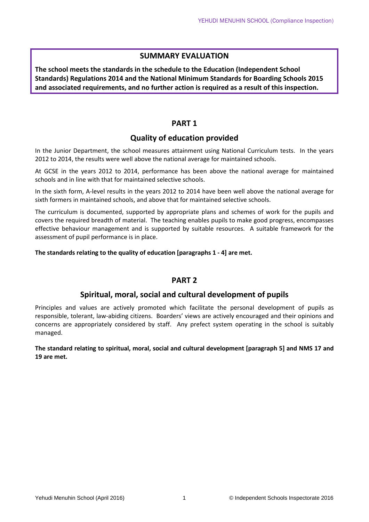#### **SUMMARY EVALUATION**

**The school meets the standards in the schedule to the Education (Independent School Standards) Regulations 2014 and the National Minimum Standards for Boarding Schools 2015 and associated requirements, and no further action is required as a result of this inspection.**

#### **PART 1**

#### **Quality of education provided**

In the Junior Department, the school measures attainment using National Curriculum tests. In the years 2012 to 2014, the results were well above the national average for maintained schools.

At GCSE in the years 2012 to 2014, performance has been above the national average for maintained schools and in line with that for maintained selective schools.

In the sixth form, A-level results in the years 2012 to 2014 have been well above the national average for sixth formers in maintained schools, and above that for maintained selective schools.

The curriculum is documented, supported by appropriate plans and schemes of work for the pupils and covers the required breadth of material. The teaching enables pupils to make good progress, encompasses effective behaviour management and is supported by suitable resources. A suitable framework for the assessment of pupil performance is in place.

**The standards relating to the quality of education [paragraphs 1 - 4] are met.**

#### **PART 2**

#### **Spiritual, moral, social and cultural development of pupils**

Principles and values are actively promoted which facilitate the personal development of pupils as responsible, tolerant, law-abiding citizens. Boarders' views are actively encouraged and their opinions and concerns are appropriately considered by staff. Any prefect system operating in the school is suitably managed.

**The standard relating to spiritual, moral, social and cultural development [paragraph 5] and NMS 17 and 19 are met.**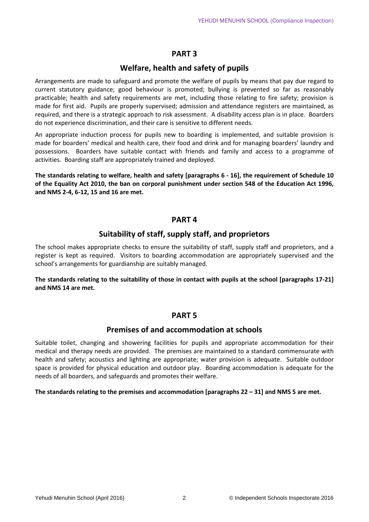#### **PART 3**

#### **Welfare, health and safety of pupils**

Arrangements are made to safeguard and promote the welfare of pupils by means that pay due regard to current statutory guidance; good behaviour is promoted; bullying is prevented so far as reasonably practicable; health and safety requirements are met, including those relating to fire safety; provision is made for first aid. Pupils are properly supervised; admission and attendance registers are maintained, as required, and there is a strategic approach to risk assessment. A disability access plan is in place. Boarders do not experience discrimination, and their care is sensitive to different needs.

An appropriate induction process for pupils new to boarding is implemented, and suitable provision is made for boarders' medical and health care, their food and drink and for managing boarders' laundry and possessions. Boarders have suitable contact with friends and family and access to a programme of activities. Boarding staff are appropriately trained and deployed.

**The standards relating to welfare, health and safety [paragraphs 6 - 16], the requirement of Schedule 10 of the Equality Act 2010, the ban on corporal punishment under section 548 of the Education Act 1996, and NMS 2-4, 6-12, 15 and 16 are met.**

#### **PART 4**

#### **Suitability of staff, supply staff, and proprietors**

The school makes appropriate checks to ensure the suitability of staff, supply staff and proprietors, and a register is kept as required. Visitors to boarding accommodation are appropriately supervised and the school's arrangements for guardianship are suitably managed.

**The standards relating to the suitability of those in contact with pupils at the school [paragraphs 17-21] and NMS 14 are met.**

#### **PART 5**

#### **Premises of and accommodation at schools**

Suitable toilet, changing and showering facilities for pupils and appropriate accommodation for their medical and therapy needs are provided. The premises are maintained to a standard commensurate with health and safety; acoustics and lighting are appropriate; water provision is adequate. Suitable outdoor space is provided for physical education and outdoor play. Boarding accommodation is adequate for the needs of all boarders, and safeguards and promotes their welfare.

#### **The standards relating to the premises and accommodation [paragraphs 22 – 31] and NMS 5 are met.**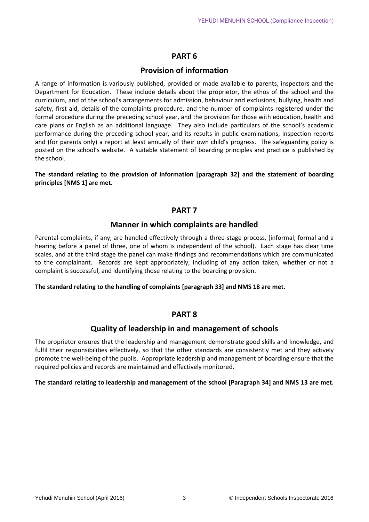#### **PART 6**

#### **Provision of information**

A range of information is variously published, provided or made available to parents, inspectors and the Department for Education. These include details about the proprietor, the ethos of the school and the curriculum, and of the school's arrangements for admission, behaviour and exclusions, bullying, health and safety, first aid, details of the complaints procedure, and the number of complaints registered under the formal procedure during the preceding school year, and the provision for those with education, health and care plans or English as an additional language. They also include particulars of the school's academic performance during the preceding school year, and its results in public examinations, inspection reports and (for parents only) a report at least annually of their own child's progress. The safeguarding policy is posted on the school's website. A suitable statement of boarding principles and practice is published by the school.

**The standard relating to the provision of information [paragraph 32] and the statement of boarding principles [NMS 1] are met.**

#### **PART 7**

#### **Manner in which complaints are handled**

Parental complaints, if any, are handled effectively through a three-stage process, (informal, formal and a hearing before a panel of three, one of whom is independent of the school). Each stage has clear time scales, and at the third stage the panel can make findings and recommendations which are communicated to the complainant. Records are kept appropriately, including of any action taken, whether or not a complaint is successful, and identifying those relating to the boarding provision.

**The standard relating to the handling of complaints [paragraph 33] and NMS 18 are met.**

#### **PART 8**

#### **Quality of leadership in and management of schools**

The proprietor ensures that the leadership and management demonstrate good skills and knowledge, and fulfil their responsibilities effectively, so that the other standards are consistently met and they actively promote the well-being of the pupils. Appropriate leadership and management of boarding ensure that the required policies and records are maintained and effectively monitored.

#### **The standard relating to leadership and management of the school [Paragraph 34] and NMS 13 are met.**